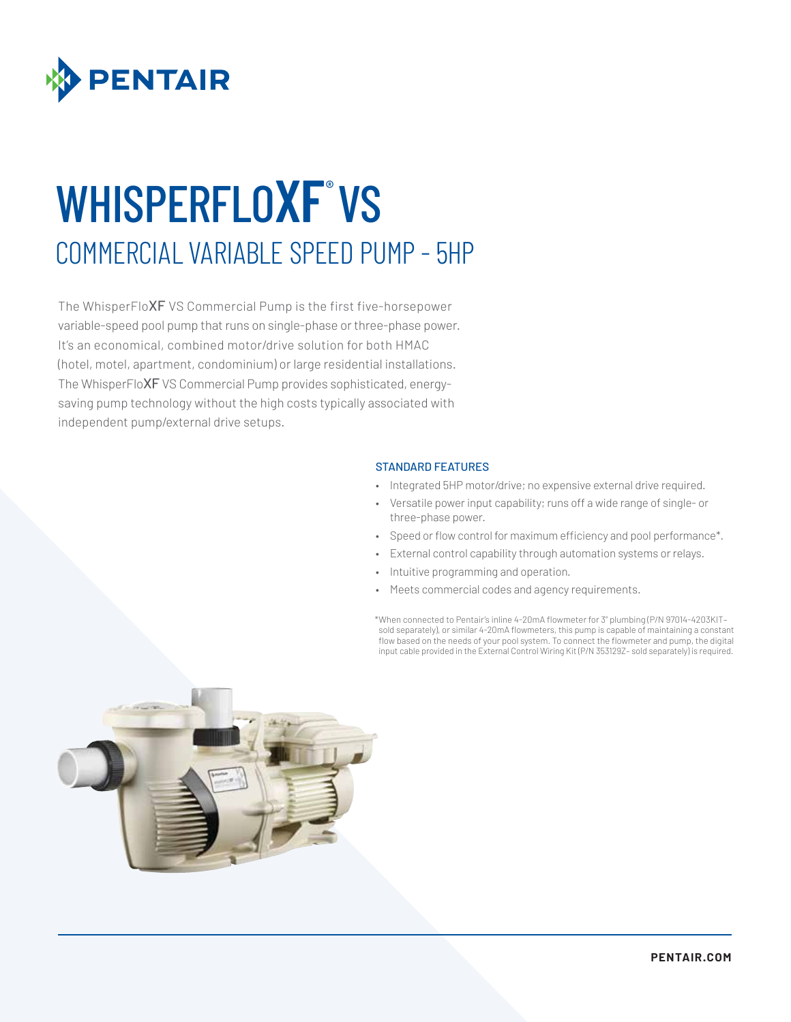

# WHISPERFLOXF°VS COMMERCIAL VARIABLE SPEED PUMP - 5HP

The WhisperFloXF VS Commercial Pump is the first five-horsepower variable-speed pool pump that runs on single-phase or three-phase power. It's an economical, combined motor/drive solution for both HMAC (hotel, motel, apartment, condominium) or large residential installations. The WhisperFloXF VS Commercial Pump provides sophisticated, energysaving pump technology without the high costs typically associated with independent pump/external drive setups.

#### STANDARD FEATURES

- Integrated 5HP motor/drive; no expensive external drive required.
- Versatile power input capability; runs off a wide range of single- or three-phase power.
- Speed or flow control for maximum efficiency and pool performance\*.
	- External control capability through automation systems or relays.
- Intuitive programming and operation.
- Meets commercial codes and agency requirements.

\*When connected to Pentair's inline 4-20mA flowmeter for 3" plumbing (P/N 97014-4203KIT– sold separately), or similar 4-20mA flowmeters, this pump is capable of maintaining a constant flow based on the needs of your pool system. To connect the flowmeter and pump, the digital input cable provided in the External Control Wiring Kit (P/N 353129Z– sold separately) is required.

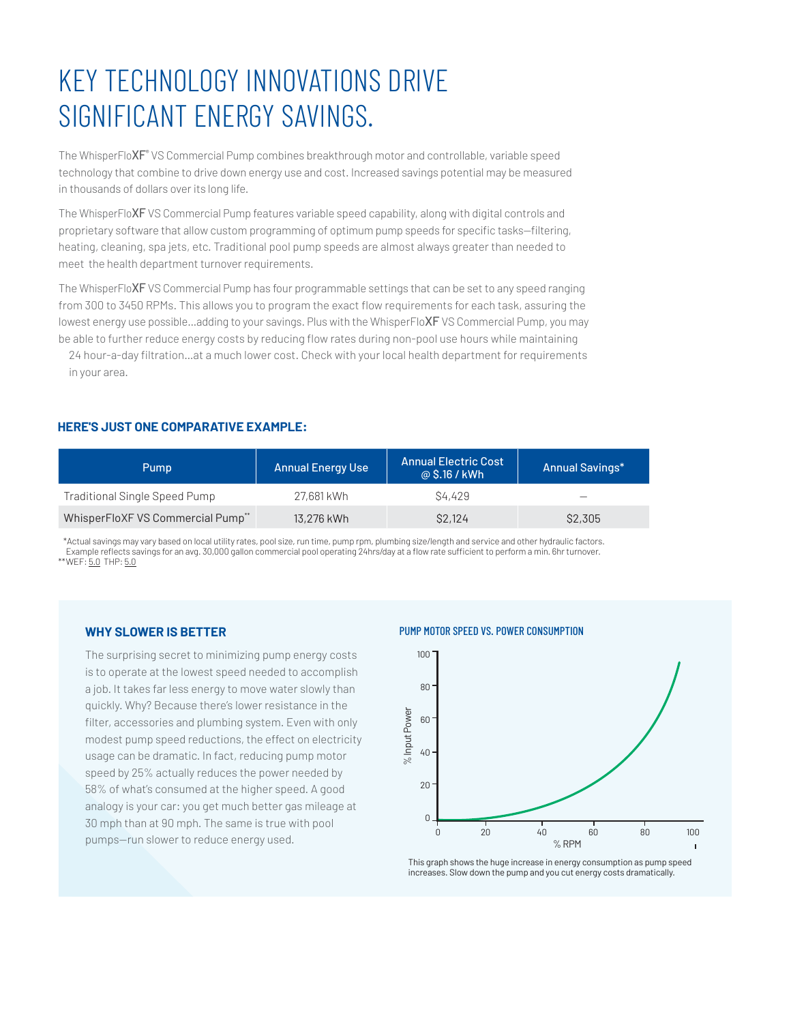## KEY TECHNOLOGY INNOVATIONS DRIVE SIGNIFICANT ENERGY SAVINGS.

The WhisperFlo $\mathsf{XF}^\circ$  VS Commercial Pump combines breakthrough motor and controllable, variable speed technology that combine to drive down energy use and cost. Increased savings potential may be measured in thousands of dollars over its long life.

The WhisperFloXF VS Commercial Pump features variable speed capability, along with digital controls and proprietary software that allow custom programming of optimum pump speeds for specific tasks—filtering, heating, cleaning, spa jets, etc. Traditional pool pump speeds are almost always greater than needed to meet the health department turnover requirements.

The WhisperFloXF VS Commercial Pump has four programmable settings that can be set to any speed ranging from 300 to 3450 RPMs. This allows you to program the exact flow requirements for each task, assuring the lowest energy use possible...adding to your savings. Plus with the WhisperFloXF VS Commercial Pump, you may be able to further reduce energy costs by reducing flow rates during non-pool use hours while maintaining

24 hour-a-day filtration…at a much lower cost. Check with your local health department for requirements in your area.

### **HERE'S JUST ONE COMPARATIVE EXAMPLE:**

| Pump                                 | <b>Annual Energy Use</b> | <b>Annual Electric Cost</b><br>@ \$.16 / kWh | <b>Annual Savings*</b> |
|--------------------------------------|--------------------------|----------------------------------------------|------------------------|
| <b>Traditional Single Speed Pump</b> | 27,681 kWh               | S <sub>4.429</sub>                           |                        |
| WhisperFloXF VS Commercial Pump**    | 13,276 kWh               | <b>S2,124</b>                                | \$2,305                |

 \*Actual savings may vary based on local utility rates, pool size, run time, pump rpm, plumbing size/length and service and other hydraulic factors. Example reflects savings for an avg. 30,000 gallon commercial pool operating 24hrs/day at a flow rate sufficient to perform a min. 6hr turnover. \*\*WEF: 5.0 THP: 5.0

#### **WHY SLOWER IS BETTER**

The surprising secret to minimizing pump energy costs is to operate at the lowest speed needed to accomplish a job. It takes far less energy to move water slowly than quickly. Why? Because there's lower resistance in the filter, accessories and plumbing system. Even with only modest pump speed reductions, the effect on electricity usage can be dramatic. In fact, reducing pump motor speed by 25% actually reduces the power needed by 58% of what's consumed at the higher speed. A good analogy is your car: you get much better gas mileage at 30 mph than at 90 mph. The same is true with pool pumps—run slower to reduce energy used.

#### PUMP MOTOR SPEED VS. POWER CONSUMPTION



This graph shows the huge increase in energy consumption as pump speed increases. Slow down the pump and you cut energy costs dramatically.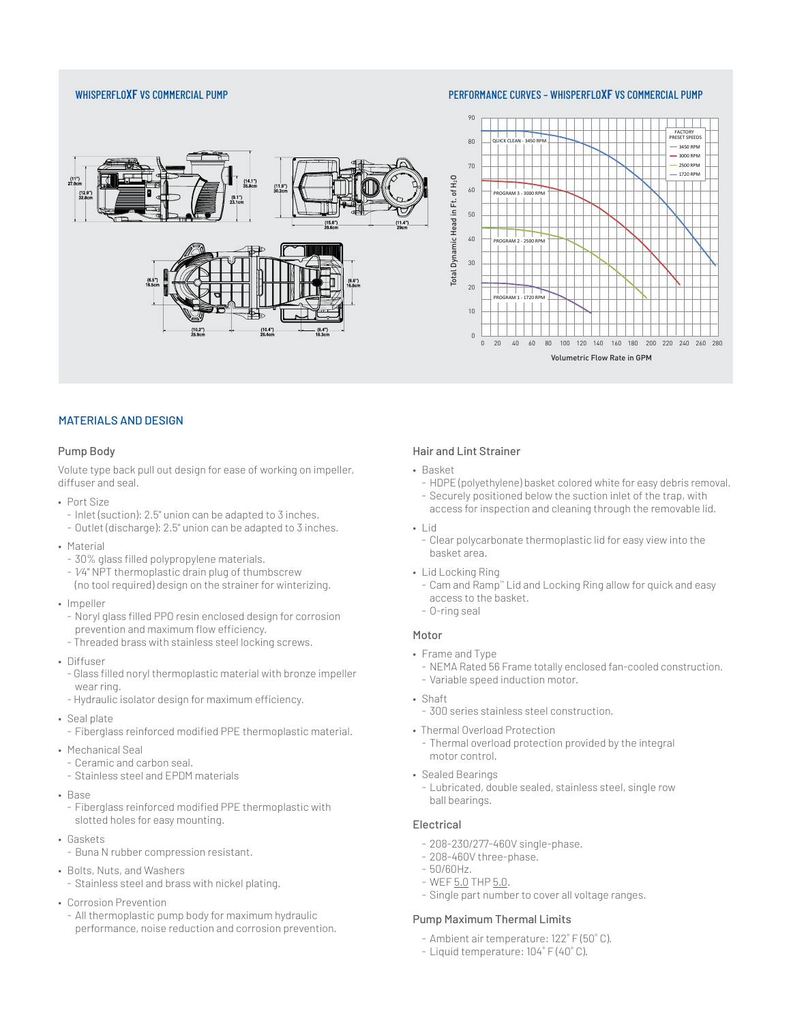#### WHISPERFLO**XF** VS COMMERCIAL PUMP **PERFORMANCE CURVES – WHISPERFLOXF** VS COMMERCIAL PUMP





#### MATERIALS AND DESIGN

#### Pump Body

Volute type back pull out design for ease of working on impeller, diffuser and seal.

- Port Size
- Inlet (suction): 2.5" union can be adapted to 3 inches.
- Outlet (discharge): 2.5" union can be adapted to 3 inches.
- Material
- 30% glass filled polypropylene materials.
- 1⁄4" NPT thermoplastic drain plug of thumbscrew (no tool required) design on the strainer for winterizing.
- Impeller
	- Noryl glass filled PPO resin enclosed design for corrosion prevention and maximum flow efficiency.
	- Threaded brass with stainless steel locking screws.
- Diffuser
	- Glass filled noryl thermoplastic material with bronze impeller wear ring.
	- Hydraulic isolator design for maximum efficiency.
- Seal plate
- Fiberglass reinforced modified PPE thermoplastic material.
- Mechanical Seal
- Ceramic and carbon seal.
- Stainless steel and EPDM materials
- Base
	- Fiberglass reinforced modified PPE thermoplastic with slotted holes for easy mounting.
- Gaskets
	- Buna N rubber compression resistant.
- Bolts, Nuts, and Washers
	- Stainless steel and brass with nickel plating.
- Corrosion Prevention
	- All thermoplastic pump body for maximum hydraulic performance, noise reduction and corrosion prevention.

#### Hair and Lint Strainer

- Basket
	- HDPE (polyethylene) basket colored white for easy debris removal.
	- Securely positioned below the suction inlet of the trap, with access for inspection and cleaning through the removable lid.
- Lid
	- Clear polycarbonate thermoplastic lid for easy view into the basket area.
- Lid Locking Ring
	- Cam and Ramp™ Lid and Locking Ring allow for quick and easy access to the basket.
	- O-ring seal

#### Motor

- Frame and Type
	- NEMA Rated 56 Frame totally enclosed fan-cooled construction. - Variable speed induction motor.
- Shaft
	- 300 series stainless steel construction.
- Thermal Overload Protection
	- Thermal overload protection provided by the integral motor control.
- Sealed Bearings
	- Lubricated, double sealed, stainless steel, single row ball bearings.

#### Electrical

- 208-230/277-460V single-phase.
- 208-460V three-phase.
- 50/60Hz.
- WEF 5.0 THP 5.0.
- Single part number to cover all voltage ranges.

#### Pump Maximum Thermal Limits

- Ambient air temperature: 122˚ F (50˚ C).
- Liquid temperature: 104˚ F (40˚ C).